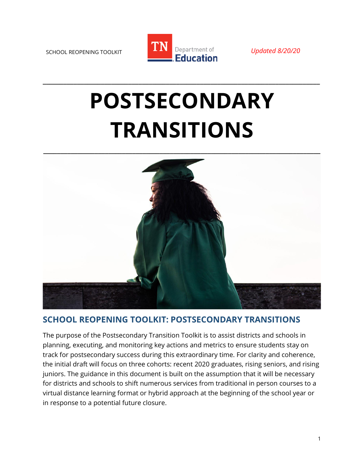

**\_\_\_\_\_\_\_\_\_\_\_\_\_\_\_\_\_\_\_\_\_\_\_\_\_\_\_\_\_\_\_\_\_\_\_\_\_\_\_\_\_\_\_\_\_\_\_\_\_\_\_\_\_\_\_\_\_\_\_\_\_\_\_\_\_\_\_\_\_\_\_\_\_\_\_\_\_\_\_\_\_**

# **POSTSECONDARY TRANSITIONS**



# **SCHOOL REOPENING TOOLKIT: POSTSECONDARY TRANSITIONS**

The purpose of the Postsecondary Transition Toolkit is to assist districts and schools in planning, executing, and monitoring key actions and metrics to ensure students stay on track for postsecondary success during this extraordinary time. For clarity and coherence, the initial draft will focus on three cohorts: recent 2020 graduates, rising seniors, and rising juniors. The guidance in this document is built on the assumption that it will be necessary for districts and schools to shift numerous services from traditional in person courses to a virtual distance learning format or hybrid approach at the beginning of the school year or in response to a potential future closure.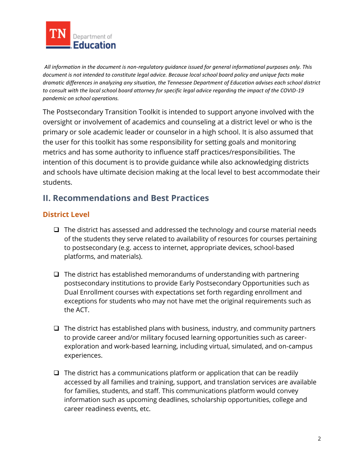

*All information in the document is non-regulatory guidance issued for general informational purposes only. This document is not intended to constitute legal advice. Because local school board policy and unique facts make dramatic differences in analyzing any situation, the Tennessee Department of Education advises each school district to consult with the local school board attorney for specific legal advice regarding the impact of the COVID-19 pandemic on school operations.*

The Postsecondary Transition Toolkit is intended to support anyone involved with the oversight or involvement of academics and counseling at a district level or who is the primary or sole academic leader or counselor in a high school. It is also assumed that the user for this toolkit has some responsibility for setting goals and monitoring metrics and has some authority to influence staff practices/responsibilities. The intention of this document is to provide guidance while also acknowledging districts and schools have ultimate decision making at the local level to best accommodate their students.

# **II. Recommendations and Best Practices**

# **District Level**

- ❑ The district has assessed and addressed the technology and course material needs of the students they serve related to availability of resources for courses pertaining to postsecondary (e.g. access to internet, appropriate devices, school-based platforms, and materials).
- ❑ The district has established memorandums of understanding with partnering postsecondary institutions to provide Early Postsecondary Opportunities such as Dual Enrollment courses with expectations set forth regarding enrollment and exceptions for students who may not have met the original requirements such as the ACT.
- $\Box$  The district has established plans with business, industry, and community partners to provide career and/or military focused learning opportunities such as careerexploration and work-based learning, including virtual, simulated, and on-campus experiences.
- $\Box$  The district has a communications platform or application that can be readily accessed by all families and training, support, and translation services are available for families, students, and staff. This communications platform would convey information such as upcoming deadlines, scholarship opportunities, college and career readiness events, etc.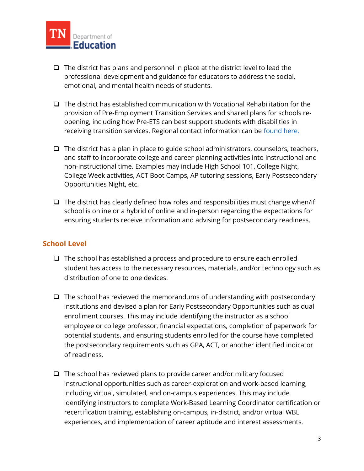

- ❑ The district has plans and personnel in place at the district level to lead the professional development and guidance for educators to address the social, emotional, and mental health needs of students.
- ❑ The district has established communication with Vocational Rehabilitation for the provision of Pre-Employment Transition Services and shared plans for schools reopening, including how Pre-ETS can best support students with disabilities in receiving transition services. Regional contact information can be [found here.](https://www.tn.gov/humanservices/ds/vocational-rehabilitation/transition-services/pre-employment-transition-services.html)
- ❑ The district has a plan in place to guide school administrators, counselors, teachers, and staff to incorporate college and career planning activities into instructional and non-instructional time. Examples may include High School 101, College Night, College Week activities, ACT Boot Camps, AP tutoring sessions, Early Postsecondary Opportunities Night, etc.
- ❑ The district has clearly defined how roles and responsibilities must change when/if school is online or a hybrid of online and in-person regarding the expectations for ensuring students receive information and advising for postsecondary readiness.

## **School Level**

- ❑ The school has established a process and procedure to ensure each enrolled student has access to the necessary resources, materials, and/or technology such as distribution of one to one devices.
- ❑ The school has reviewed the memorandums of understanding with postsecondary institutions and devised a plan for Early Postsecondary Opportunities such as dual enrollment courses. This may include identifying the instructor as a school employee or college professor, financial expectations, completion of paperwork for potential students, and ensuring students enrolled for the course have completed the postsecondary requirements such as GPA, ACT, or another identified indicator of readiness.
- ❑ The school has reviewed plans to provide career and/or military focused instructional opportunities such as career-exploration and work-based learning, including virtual, simulated, and on-campus experiences. This may include identifying instructors to complete Work-Based Learning Coordinator certification or recertification training, establishing on-campus, in-district, and/or virtual WBL experiences, and implementation of career aptitude and interest assessments.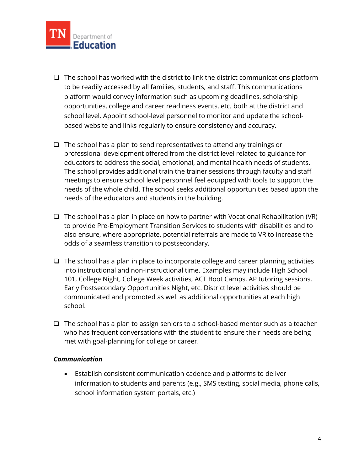

- $\Box$  The school has worked with the district to link the district communications platform to be readily accessed by all families, students, and staff. This communications platform would convey information such as upcoming deadlines, scholarship opportunities, college and career readiness events, etc. both at the district and school level. Appoint school-level personnel to monitor and update the schoolbased website and links regularly to ensure consistency and accuracy.
- $\Box$  The school has a plan to send representatives to attend any trainings or professional development offered from the district level related to guidance for educators to address the social, emotional, and mental health needs of students. The school provides additional train the trainer sessions through faculty and staff meetings to ensure school level personnel feel equipped with tools to support the needs of the whole child. The school seeks additional opportunities based upon the needs of the educators and students in the building.
- ❑ The school has a plan in place on how to partner with Vocational Rehabilitation (VR) to provide Pre-Employment Transition Services to students with disabilities and to also ensure, where appropriate, potential referrals are made to VR to increase the odds of a seamless transition to postsecondary.
- ❑ The school has a plan in place to incorporate college and career planning activities into instructional and non-instructional time. Examples may include High School 101, College Night, College Week activities, ACT Boot Camps, AP tutoring sessions, Early Postsecondary Opportunities Night, etc. District level activities should be communicated and promoted as well as additional opportunities at each high school.
- ❑ The school has a plan to assign seniors to a school-based mentor such as a teacher who has frequent conversations with the student to ensure their needs are being met with goal-planning for college or career.

#### *Communication*

• Establish consistent communication cadence and platforms to deliver information to students and parents (e.g., SMS texting, social media, phone calls, school information system portals, etc.)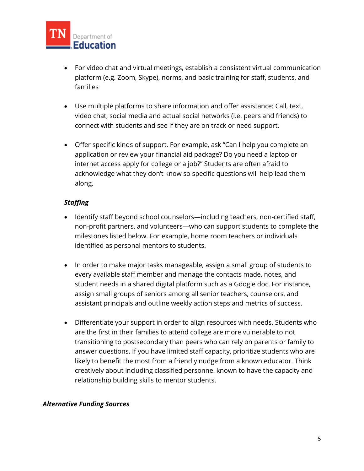

- For video chat and virtual meetings, establish a consistent virtual communication platform (e.g. Zoom, Skype), norms, and basic training for staff, students, and families
- Use multiple platforms to share information and offer assistance: Call, text, video chat, social media and actual social networks (i.e. peers and friends) to connect with students and see if they are on track or need support.
- Offer specific kinds of support. For example, ask "Can I help you complete an application or review your financial aid package? Do you need a laptop or internet access apply for college or a job?" Students are often afraid to acknowledge what they don't know so specific questions will help lead them along.

## *Staffing*

- Identify staff beyond school counselors—including teachers, non-certified staff, non-profit partners, and volunteers—who can support students to complete the milestones listed below. For example, home room teachers or individuals identified as personal mentors to students.
- In order to make major tasks manageable, assign a small group of students to every available staff member and manage the contacts made, notes, and student needs in a shared digital platform such as a Google doc. For instance, assign small groups of seniors among all senior teachers, counselors, and assistant principals and outline weekly action steps and metrics of success.
- Differentiate your support in order to align resources with needs. Students who are the first in their families to attend college are more vulnerable to not transitioning to postsecondary than peers who can rely on parents or family to answer questions. If you have limited staff capacity, prioritize students who are likely to benefit the most from a friendly nudge from a known educator. Think creatively about including classified personnel known to have the capacity and relationship building skills to mentor students.

#### *Alternative Funding Sources*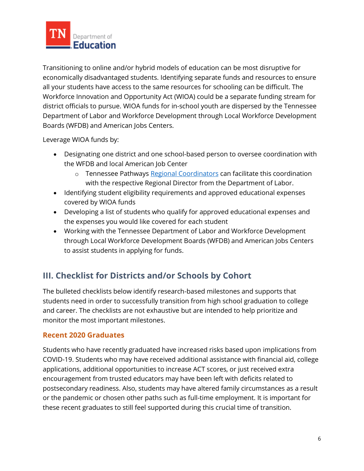

Transitioning to online and/or hybrid models of education can be most disruptive for economically disadvantaged students. Identifying separate funds and resources to ensure all your students have access to the same resources for schooling can be difficult. The Workforce Innovation and Opportunity Act (WIOA) could be a separate funding stream for district officials to pursue. WIOA funds for in-school youth are dispersed by the Tennessee Department of Labor and Workforce Development through Local Workforce Development Boards (WFDB) and American Jobs Centers.

Leverage WIOA funds by:

- Designating one district and one school-based person to oversee coordination with the WFDB and local American Job Center
	- o Tennessee Pathways [Regional Coordinators](https://www.tbr.edu/tennessee-pathways/regional-coordinators) can facilitate this coordination with the respective Regional Director from the Department of Labor.
- Identifying student eligibility requirements and approved educational expenses covered by WIOA funds
- Developing a list of students who qualify for approved educational expenses and the expenses you would like covered for each student
- Working with the Tennessee Department of Labor and Workforce Development through Local Workforce Development Boards (WFDB) and American Jobs Centers to assist students in applying for funds.

# **III. Checklist for Districts and/or Schools by Cohort**

The bulleted checklists below identify research-based milestones and supports that students need in order to successfully transition from high school graduation to college and career. The checklists are not exhaustive but are intended to help prioritize and monitor the most important milestones.

## **Recent 2020 Graduates**

Students who have recently graduated have increased risks based upon implications from COVID-19. Students who may have received additional assistance with financial aid, college applications, additional opportunities to increase ACT scores, or just received extra encouragement from trusted educators may have been left with deficits related to postsecondary readiness. Also, students may have altered family circumstances as a result or the pandemic or chosen other paths such as full-time employment. It is important for these recent graduates to still feel supported during this crucial time of transition.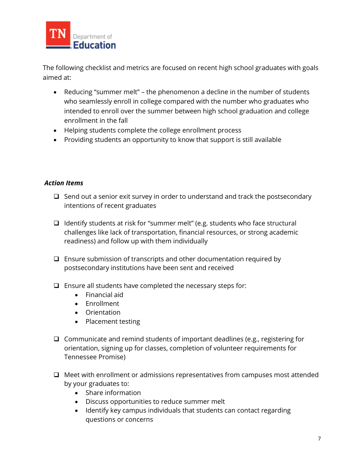

The following checklist and metrics are focused on recent high school graduates with goals aimed at:

- Reducing "summer melt" the phenomenon a decline in the number of students who seamlessly enroll in college compared with the number who graduates who intended to enroll over the summer between high school graduation and college enrollment in the fall
- Helping students complete the college enrollment process
- Providing students an opportunity to know that support is still available

## *Action Items*

- ❑ Send out a senior exit survey in order to understand and track the postsecondary intentions of recent graduates
- ❑ Identify students at risk for "summer melt" (e.g. students who face structural challenges like lack of transportation, financial resources, or strong academic readiness) and follow up with them individually
- ❑ Ensure submission of transcripts and other documentation required by postsecondary institutions have been sent and received
- ❑ Ensure all students have completed the necessary steps for:
	- Financial aid
	- Enrollment
	- Orientation
	- Placement testing
- ❑ Communicate and remind students of important deadlines (e.g., registering for orientation, signing up for classes, completion of volunteer requirements for Tennessee Promise)
- ❑ Meet with enrollment or admissions representatives from campuses most attended by your graduates to:
	- Share information
	- Discuss opportunities to reduce summer melt
	- Identify key campus individuals that students can contact regarding questions or concerns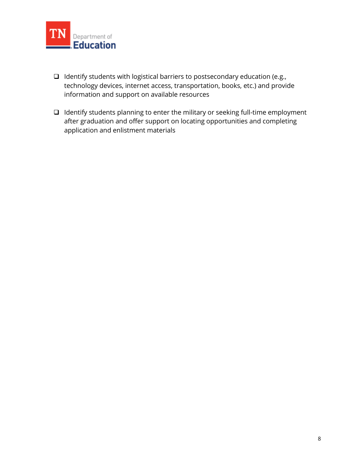

- ❑ Identify students with logistical barriers to postsecondary education (e.g., technology devices, internet access, transportation, books, etc.) and provide information and support on available resources
- ❑ Identify students planning to enter the military or seeking full-time employment after graduation and offer support on locating opportunities and completing application and enlistment materials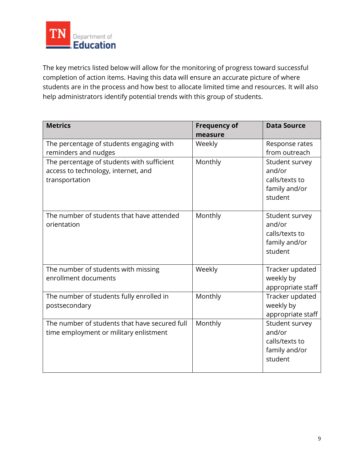

The key metrics listed below will allow for the monitoring of progress toward successful completion of action items. Having this data will ensure an accurate picture of where students are in the process and how best to allocate limited time and resources. It will also help administrators identify potential trends with this group of students.

| <b>Metrics</b>                                                                                      | <b>Frequency of</b><br>measure | <b>Data Source</b>                                                     |
|-----------------------------------------------------------------------------------------------------|--------------------------------|------------------------------------------------------------------------|
| The percentage of students engaging with<br>reminders and nudges                                    | Weekly                         | Response rates<br>from outreach                                        |
| The percentage of students with sufficient<br>access to technology, internet, and<br>transportation | Monthly                        | Student survey<br>and/or<br>calls/texts to<br>family and/or<br>student |
| The number of students that have attended<br>orientation                                            | Monthly                        | Student survey<br>and/or<br>calls/texts to<br>family and/or<br>student |
| The number of students with missing<br>enrollment documents                                         | Weekly                         | Tracker updated<br>weekly by<br>appropriate staff                      |
| The number of students fully enrolled in<br>postsecondary                                           | Monthly                        | Tracker updated<br>weekly by<br>appropriate staff                      |
| The number of students that have secured full<br>time employment or military enlistment             | Monthly                        | Student survey<br>and/or<br>calls/texts to<br>family and/or<br>student |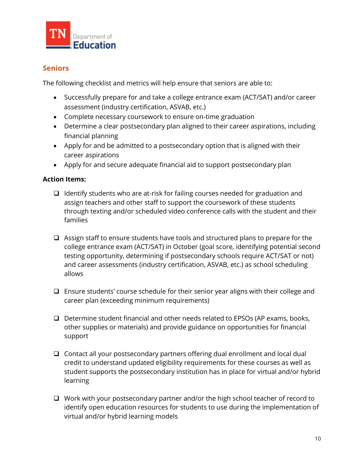

## **Seniors**

The following checklist and metrics will help ensure that seniors are able to:

- Successfully prepare for and take a college entrance exam (ACT/SAT) and/or career assessment (industry certification, ASVAB, etc.)
- Complete necessary coursework to ensure on-time graduation
- Determine a clear postsecondary plan aligned to their career aspirations, including financial planning
- Apply for and be admitted to a postsecondary option that is aligned with their career aspirations
- Apply for and secure adequate financial aid to support postsecondary plan

#### **Action Items:**

- ❑ Identify students who are at-risk for failing courses needed for graduation and assign teachers and other staff to support the coursework of these students through texting and/or scheduled video conference calls with the student and their families
- ❑ Assign staff to ensure students have tools and structured plans to prepare for the college entrance exam (ACT/SAT) in October (goal score, identifying potential second testing opportunity, determining if postsecondary schools require ACT/SAT or not) and career assessments (industry certification, ASVAB, etc.) as school scheduling allows
- ❑ Ensure students' course schedule for their senior year aligns with their college and career plan (exceeding minimum requirements)
- ❑ Determine student financial and other needs related to EPSOs (AP exams, books, other supplies or materials) and provide guidance on opportunities for financial support
- ❑ Contact all your postsecondary partners offering dual enrollment and local dual credit to understand updated eligibility requirements for these courses as well as student supports the postsecondary institution has in place for virtual and/or hybrid learning
- ❑ Work with your postsecondary partner and/or the high school teacher of record to identify open education resources for students to use during the implementation of virtual and/or hybrid learning models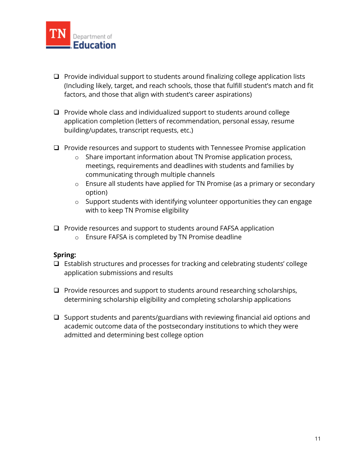

- ❑ Provide individual support to students around finalizing college application lists (Including likely, target, and reach schools, those that fulfill student's match and fit factors, and those that align with student's career aspirations)
- ❑ Provide whole class and individualized support to students around college application completion (letters of recommendation, personal essay, resume building/updates, transcript requests, etc.)
- ❑ Provide resources and support to students with Tennessee Promise application
	- o Share important information about TN Promise application process, meetings, requirements and deadlines with students and families by communicating through multiple channels
	- o Ensure all students have applied for TN Promise (as a primary or secondary option)
	- o Support students with identifying volunteer opportunities they can engage with to keep TN Promise eligibility
- ❑ Provide resources and support to students around FAFSA application
	- o Ensure FAFSA is completed by TN Promise deadline

#### **Spring:**

- ❑ Establish structures and processes for tracking and celebrating students' college application submissions and results
- ❑ Provide resources and support to students around researching scholarships, determining scholarship eligibility and completing scholarship applications
- ❑ Support students and parents/guardians with reviewing financial aid options and academic outcome data of the postsecondary institutions to which they were admitted and determining best college option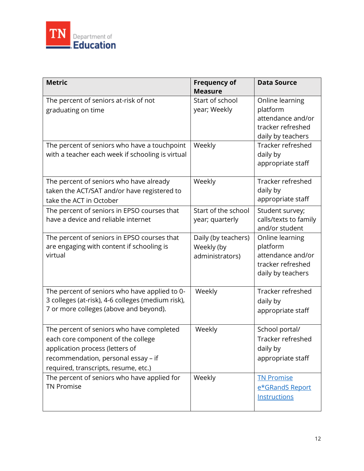

| <b>Metric</b>                                                                                                                                                                                     | <b>Frequency of</b><br><b>Measure</b>                | <b>Data Source</b>                                                                         |
|---------------------------------------------------------------------------------------------------------------------------------------------------------------------------------------------------|------------------------------------------------------|--------------------------------------------------------------------------------------------|
| The percent of seniors at-risk of not<br>graduating on time                                                                                                                                       | Start of school<br>year; Weekly                      | Online learning<br>platform<br>attendance and/or<br>tracker refreshed<br>daily by teachers |
| The percent of seniors who have a touchpoint<br>with a teacher each week if schooling is virtual                                                                                                  | Weekly                                               | Tracker refreshed<br>daily by<br>appropriate staff                                         |
| The percent of seniors who have already<br>taken the ACT/SAT and/or have registered to<br>take the ACT in October                                                                                 | Weekly                                               | Tracker refreshed<br>daily by<br>appropriate staff                                         |
| The percent of seniors in EPSO courses that<br>have a device and reliable internet                                                                                                                | Start of the school<br>year; quarterly               | Student survey;<br>calls/texts to family<br>and/or student                                 |
| The percent of seniors in EPSO courses that<br>are engaging with content if schooling is<br>virtual                                                                                               | Daily (by teachers)<br>Weekly (by<br>administrators) | Online learning<br>platform<br>attendance and/or<br>tracker refreshed<br>daily by teachers |
| The percent of seniors who have applied to 0-<br>3 colleges (at-risk), 4-6 colleges (medium risk),<br>7 or more colleges (above and beyond).                                                      | Weekly                                               | Tracker refreshed<br>daily by<br>appropriate staff                                         |
| The percent of seniors who have completed<br>each core component of the college<br>application process (letters of<br>recommendation, personal essay - if<br>required, transcripts, resume, etc.) | Weekly                                               | School portal/<br>Tracker refreshed<br>daily by<br>appropriate staff                       |
| The percent of seniors who have applied for<br><b>TN Promise</b>                                                                                                                                  | Weekly                                               | <b>TN Promise</b><br>e*GRandS Report<br>Instructions                                       |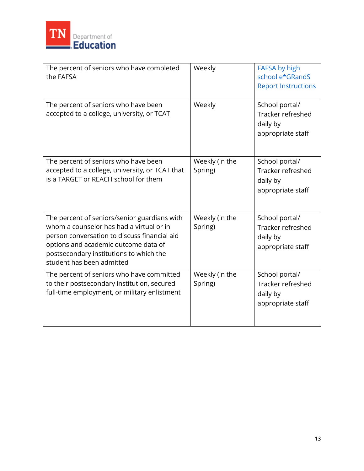

| The percent of seniors who have completed<br>the FAFSA                                                                                                                                                                                                   | Weekly                    | <b>FAFSA by high</b><br>school e*GRandS<br><b>Report Instructions</b> |
|----------------------------------------------------------------------------------------------------------------------------------------------------------------------------------------------------------------------------------------------------------|---------------------------|-----------------------------------------------------------------------|
| The percent of seniors who have been<br>accepted to a college, university, or TCAT                                                                                                                                                                       | Weekly                    | School portal/<br>Tracker refreshed<br>daily by<br>appropriate staff  |
| The percent of seniors who have been<br>accepted to a college, university, or TCAT that<br>is a TARGET or REACH school for them                                                                                                                          | Weekly (in the<br>Spring) | School portal/<br>Tracker refreshed<br>daily by<br>appropriate staff  |
| The percent of seniors/senior guardians with<br>whom a counselor has had a virtual or in<br>person conversation to discuss financial aid<br>options and academic outcome data of<br>postsecondary institutions to which the<br>student has been admitted | Weekly (in the<br>Spring) | School portal/<br>Tracker refreshed<br>daily by<br>appropriate staff  |
| The percent of seniors who have committed<br>to their postsecondary institution, secured<br>full-time employment, or military enlistment                                                                                                                 | Weekly (in the<br>Spring) | School portal/<br>Tracker refreshed<br>daily by<br>appropriate staff  |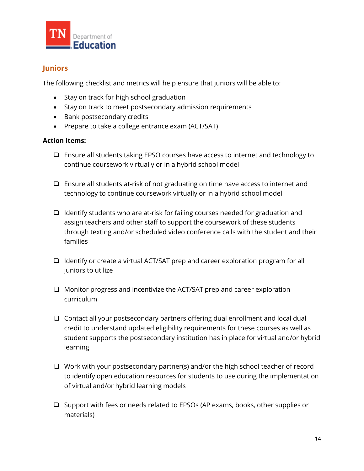

# **Juniors**

The following checklist and metrics will help ensure that juniors will be able to:

- Stay on track for high school graduation
- Stay on track to meet postsecondary admission requirements
- Bank postsecondary credits
- Prepare to take a college entrance exam (ACT/SAT)

#### **Action Items:**

- ❑ Ensure all students taking EPSO courses have access to internet and technology to continue coursework virtually or in a hybrid school model
- ❑ Ensure all students at-risk of not graduating on time have access to internet and technology to continue coursework virtually or in a hybrid school model
- ❑ Identify students who are at-risk for failing courses needed for graduation and assign teachers and other staff to support the coursework of these students through texting and/or scheduled video conference calls with the student and their families
- ❑ Identify or create a virtual ACT/SAT prep and career exploration program for all juniors to utilize
- ❑ Monitor progress and incentivize the ACT/SAT prep and career exploration curriculum
- ❑ Contact all your postsecondary partners offering dual enrollment and local dual credit to understand updated eligibility requirements for these courses as well as student supports the postsecondary institution has in place for virtual and/or hybrid learning
- ❑ Work with your postsecondary partner(s) and/or the high school teacher of record to identify open education resources for students to use during the implementation of virtual and/or hybrid learning models
- ❑ Support with fees or needs related to EPSOs (AP exams, books, other supplies or materials)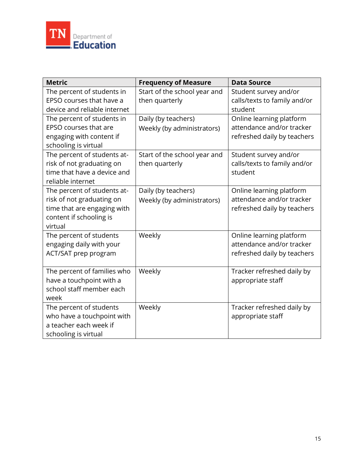

| <b>Metric</b>                                                                                                                 | <b>Frequency of Measure</b>                       | <b>Data Source</b>                                                                   |
|-------------------------------------------------------------------------------------------------------------------------------|---------------------------------------------------|--------------------------------------------------------------------------------------|
| The percent of students in<br>EPSO courses that have a<br>device and reliable internet                                        | Start of the school year and<br>then quarterly    | Student survey and/or<br>calls/texts to family and/or<br>student                     |
| The percent of students in<br>EPSO courses that are<br>engaging with content if<br>schooling is virtual                       | Daily (by teachers)<br>Weekly (by administrators) | Online learning platform<br>attendance and/or tracker<br>refreshed daily by teachers |
| The percent of students at-<br>risk of not graduating on<br>time that have a device and<br>reliable internet                  | Start of the school year and<br>then quarterly    | Student survey and/or<br>calls/texts to family and/or<br>student                     |
| The percent of students at-<br>risk of not graduating on<br>time that are engaging with<br>content if schooling is<br>virtual | Daily (by teachers)<br>Weekly (by administrators) | Online learning platform<br>attendance and/or tracker<br>refreshed daily by teachers |
| The percent of students<br>engaging daily with your<br>ACT/SAT prep program                                                   | Weekly                                            | Online learning platform<br>attendance and/or tracker<br>refreshed daily by teachers |
| The percent of families who<br>have a touchpoint with a<br>school staff member each<br>week                                   | Weekly                                            | Tracker refreshed daily by<br>appropriate staff                                      |
| The percent of students<br>who have a touchpoint with<br>a teacher each week if<br>schooling is virtual                       | Weekly                                            | Tracker refreshed daily by<br>appropriate staff                                      |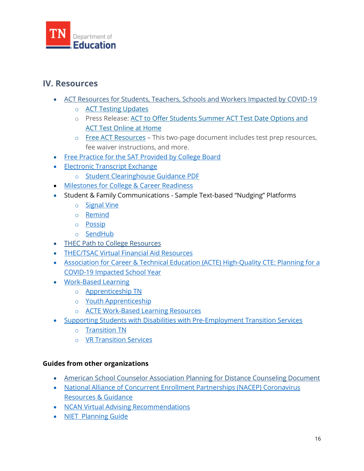

# **IV. Resources**

- [ACT Resources for Students, Teachers, Schools and Workers Impacted by COVID-19](https://www.act.org/content/act/en/covid19.html)
	- o [ACT Testing Updates](https://www.act.org/content/act/en/covid-19.html)
	- o Press Release: [ACT to Offer Students Summer ACT Test Date Options and](https://cdn.ymaws.com/collegeaccess.site-ym.com/resource/resmgr/blog/covid19/flexiblescheduling_remotepro.pdf)  [ACT Test Online at Home](https://cdn.ymaws.com/collegeaccess.site-ym.com/resource/resmgr/blog/covid19/flexiblescheduling_remotepro.pdf)
	- o [Free ACT Resources](https://cdn.ymaws.com/collegeaccess.site-ym.com/resource/resmgr/blog/covid19/free_act_resources.pdf) This two-page document includes test prep resources, fee waiver instructions, and more.
- [Free Practice for the SAT Provided by College Board](https://collegereadiness.collegeboard.org/sat/practice)
- [Electronic Transcript Exchange](https://www.tn.gov/thec/bureaus/access-and-outreach/college-access/redirect-college-access-and-success/electronic-transcript-exchange-and-data-services-for-high-schools-and-colleges-through-thec.html)
	- o [Student Clearinghouse Guidance PDF](https://studentclearinghouse.info/onestop/wp-content/uploads/TNTCBriefingPaper.pdf)
- Milestones [for College & Career Readiness](https://www.tn.gov/content/dam/tn/education/ccte/ccte_sr_milestones_student_knowledge_actions.PDF)
- Student & Family Communications Sample Text-based "Nudging" Platforms
	- o [Signal Vine](https://www.signalvine.com/)
	- o [Remind](https://www.remind.com/)
	- o [Possip](https://possip.com/)
	- o [SendHub](https://www.sendhub.com/text-messaging-service-for-schools/)
- [THEC Path to College](https://www.collegefortn.org/open/pathtocollege) Resources
- [THEC/TSAC Virtual Financial Aid Resources](https://www.tn.gov/thec/covid-19-campus-information.html)
- Association for Career & Technical Education (ACTE) High-Quality CTE: Planning for a [COVID-19 Impacted School Year](https://www.acteonline.org/hqcte-planning-covid-19/)
- [Work-Based Learning](https://www.tn.gov/education/career-and-technical-education/work-based-learning.html)
	- o [Apprenticeship TN](https://www.tn.gov/apprenticeshiptn.html)
	- o [Youth Apprenticeship](https://www.tn.gov/apprenticeshiptn/youth-apprenticeship.html)
	- o [ACTE Work-Based Learning Resources](https://www.acteonline.org/professional-development/high-quality-cte-tools/work-based-learning/)
- [Supporting Students with Disabilities with Pre-Employment Transition Services](https://www.tn.gov/humanservices/ds/vocational-rehabilitation/transition-services/pre-employment-transition-services.html)
	- o [Transition TN](https://transitiontn.org/)
	- o [VR Transition](https://www.tn.gov/humanservices/ds/vocational-rehabilitation/transition-services.html) Services

#### **Guides from other organizations**

- [American School Counselor Association Planning for Distance Counseling Document](https://www.schoolcounselor.org/asca/media/asca/home/EmergencyShutdown.pdf)
- [National Alliance of Concurrent Enrollment Partnerships \(NACEP\) Coronavirus](http://www.nacep.org/nacep-cornonavirus-guidance-and-resources/)  [Resources & Guidance](http://www.nacep.org/nacep-cornonavirus-guidance-and-resources/)
- [NCAN Virtual Advising Recommendations](https://www.ncan.org/news/495294/Pivoting-to-Virtual-Advising-Consider-the-Evidence-and-These-Approaches.htm)
- [NIET Planning Guide](https://www.niet.org/assets/Resources/3e1c3a0cca/school-year-planning-guide-2020-21.pdf)